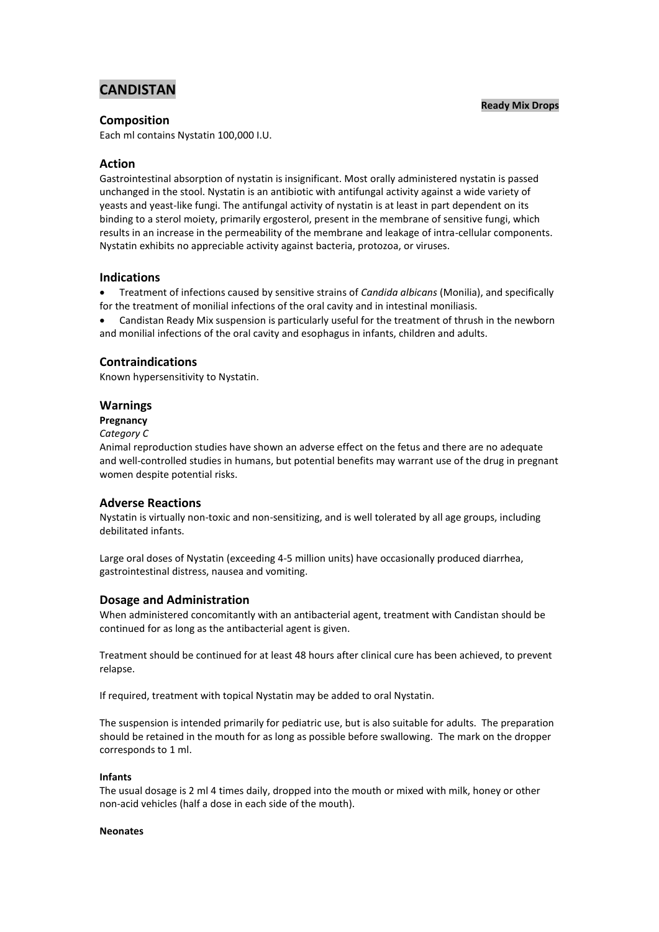# **CANDISTAN**

### **Ready Mix Drops**

### **Composition**

Each ml contains Nystatin 100,000 I.U.

### **Action**

Gastrointestinal absorption of nystatin is insignificant. Most orally administered nystatin is passed unchanged in the stool. Nystatin is an antibiotic with antifungal activity against a wide variety of yeasts and yeast-like fungi. The antifungal activity of nystatin is at least in part dependent on its binding to a sterol moiety, primarily ergosterol, present in the membrane of sensitive fungi, which results in an increase in the permeability of the membrane and leakage of intra-cellular components. Nystatin exhibits no appreciable activity against bacteria, protozoa, or viruses.

### **Indications**

 Treatment of infections caused by sensitive strains of *Candida albicans* (Monilia), and specifically for the treatment of monilial infections of the oral cavity and in intestinal moniliasis.

 Candistan Ready Mix suspension is particularly useful for the treatment of thrush in the newborn and monilial infections of the oral cavity and esophagus in infants, children and adults.

# **Contraindications**

Known hypersensitivity to Nystatin.

### **Warnings**

#### **Pregnancy**

#### *Category C*

Animal reproduction studies have shown an adverse effect on the fetus and there are no adequate and well-controlled studies in humans, but potential benefits may warrant use of the drug in pregnant women despite potential risks.

### **Adverse Reactions**

Nystatin is virtually non-toxic and non-sensitizing, and is well tolerated by all age groups, including debilitated infants.

Large oral doses of Nystatin (exceeding 4-5 million units) have occasionally produced diarrhea, gastrointestinal distress, nausea and vomiting.

# **Dosage and Administration**

When administered concomitantly with an antibacterial agent, treatment with Candistan should be continued for as long as the antibacterial agent is given.

Treatment should be continued for at least 48 hours after clinical cure has been achieved, to prevent relapse.

If required, treatment with topical Nystatin may be added to oral Nystatin.

The suspension is intended primarily for pediatric use, but is also suitable for adults. The preparation should be retained in the mouth for as long as possible before swallowing. The mark on the dropper corresponds to 1 ml.

### **Infants**

The usual dosage is 2 ml 4 times daily, dropped into the mouth or mixed with milk, honey or other non-acid vehicles (half a dose in each side of the mouth).

#### **Neonates**